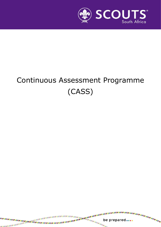

# Continuous Assessment Programme (CASS)

be prepared....

s.